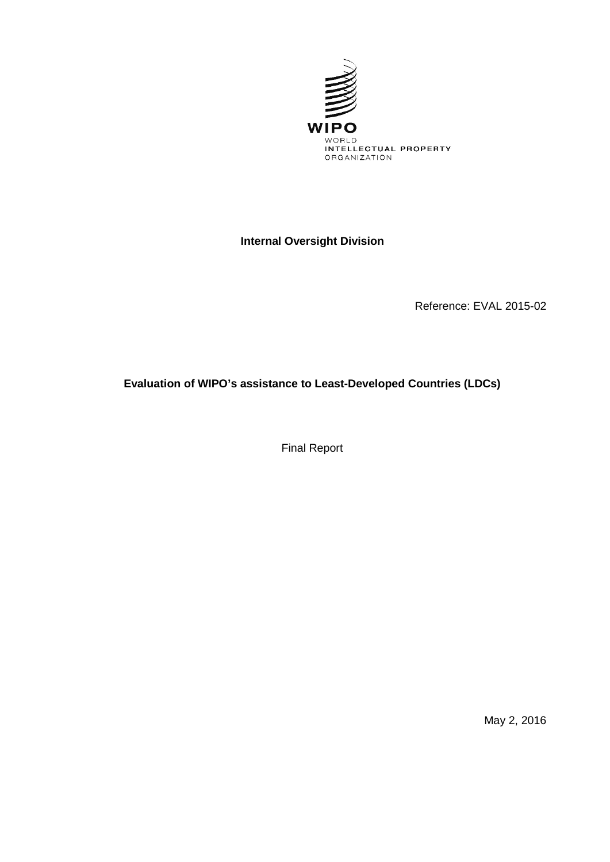

**Internal Oversight Division**

Reference: EVAL 2015-02

<span id="page-0-0"></span>**Evaluation of WIPO's assistance to Least-Developed Countries (LDCs)**

Final Report

May 2, 2016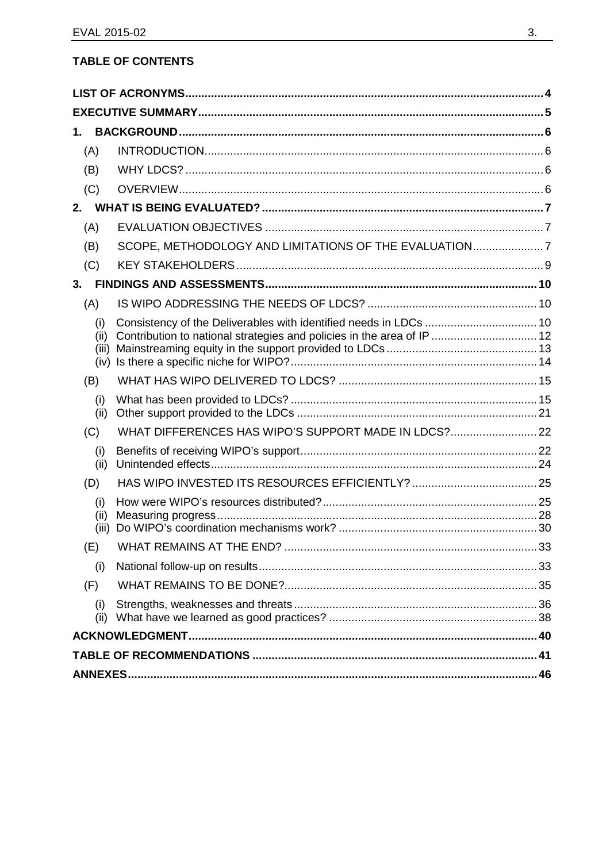## **TABLE OF CONTENTS**

| 1.  |                      |                                                                                                                                             |  |  |
|-----|----------------------|---------------------------------------------------------------------------------------------------------------------------------------------|--|--|
| (A) |                      |                                                                                                                                             |  |  |
| (B) |                      |                                                                                                                                             |  |  |
| (C) |                      |                                                                                                                                             |  |  |
|     |                      |                                                                                                                                             |  |  |
| (A) |                      |                                                                                                                                             |  |  |
| (B) |                      | SCOPE, METHODOLOGY AND LIMITATIONS OF THE EVALUATION7                                                                                       |  |  |
| (C) |                      |                                                                                                                                             |  |  |
| 3.  |                      |                                                                                                                                             |  |  |
| (A) |                      |                                                                                                                                             |  |  |
|     | (i)<br>(ii)<br>(iii) | Consistency of the Deliverables with identified needs in LDCs  10<br>Contribution to national strategies and policies in the area of IP  12 |  |  |
| (B) |                      |                                                                                                                                             |  |  |
|     | (i)<br>(ii)          |                                                                                                                                             |  |  |
| (C) |                      | WHAT DIFFERENCES HAS WIPO'S SUPPORT MADE IN LDCS? 22                                                                                        |  |  |
|     | (i)<br>(ii)          |                                                                                                                                             |  |  |
| (D) |                      |                                                                                                                                             |  |  |
|     | (i)<br>(ii)<br>(iii) |                                                                                                                                             |  |  |
| (E) |                      |                                                                                                                                             |  |  |
|     | (i)                  |                                                                                                                                             |  |  |
| (F) |                      |                                                                                                                                             |  |  |
|     | (i)<br>(ii)          |                                                                                                                                             |  |  |
|     |                      |                                                                                                                                             |  |  |
|     |                      |                                                                                                                                             |  |  |
|     |                      |                                                                                                                                             |  |  |